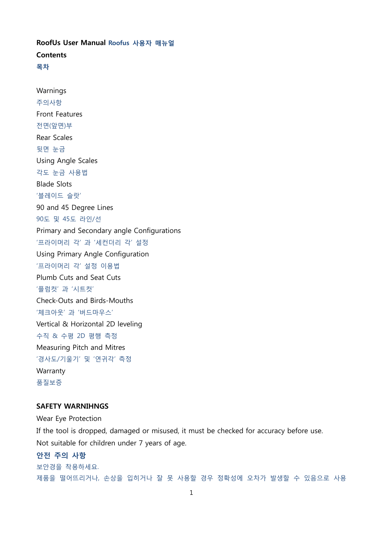RoofUs User Manual Roofus 사용자 매뉴얼 **Contents** 목차

Warnings 주의사항 Front Features 전면(앞면)부 Rear Scales 뒷면 눈금 Using Angle Scales 각도 눈금 사용법 Blade Slots '블레이드 슬랏' 90 and 45 Degree Lines 90도 및 45도 라인/선 Primary and Secondary angle Configurations '프라이머리 각' 과 '세컨더리 각' 설정 Using Primary Angle Configuration '프라이머리 각' 설정 이용법 Plumb Cuts and Seat Cuts '플럼컷' 과 '시트컷' Check-Outs and Birds-Mouths '체크아웃' 과 '버드마우스' Vertical & Horizontal 2D leveling 수직 & 수평 2D 평행 측정 Measuring Pitch and Mitres '경사도/기울기' 및 '연귀각' 측정 Warranty 품질보증

### SAFETY WARNIHNGS

Wear Eye Protection

If the tool is dropped, damaged or misused, it must be checked for accuracy before use. Not suitable for children under 7 years of age.

## 안전 주의 사항

보안경을 착용하세요. 제품을 떨어뜨리거나, 손상을 입히거나 잘 못 사용할 경우 정확성에 오차가 발생할 수 있음으로 사용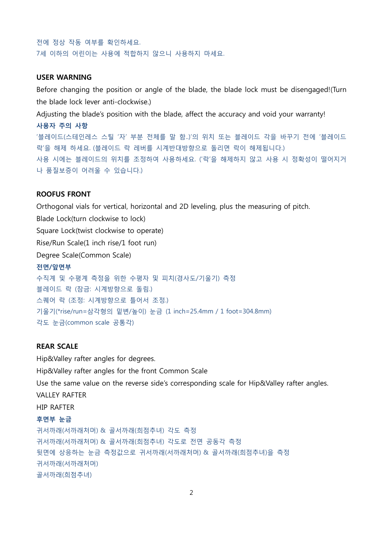전에 정상 작동 여부를 확인하세요. 7세 이하의 어린이는 사용에 적합하지 않으니 사용하지 마세요.

#### USER WARNING

Before changing the position or angle of the blade, the blade lock must be disengaged!(Turn the blade lock lever anti-clockwise.)

Adjusting the blade's position with the blade, affect the accuracy and void your warranty!

사용자 주의 사항 '블레이드(스테인레스 스틸 '자' 부분 전체를 말 함..)'의 위치 또는 블레이드 각을 바꾸기 전에 '블레이드 락'을 해제 하세요. (블레이드 락 레버를 시계반대방향으로 돌리면 락이 해제됩니다.) 사용 시에는 블레이드의 위치를 조정하여 사용하세요. ('락'을 해제하지 않고 사용 시 정확성이 떨어지거 나 품질보증이 어려울 수 있습니다.)

#### ROOFUS FRONT

Orthogonal vials for vertical, horizontal and 2D leveling, plus the measuring of pitch. Blade Lock(turn clockwise to lock) Square Lock(twist clockwise to operate) Rise/Run Scale(1 inch rise/1 foot run) Degree Scale(Common Scale) 전면/앞면부 수직계 및 수평계 측정을 위한 수평자 및 피치(경사도/기울기) 측정 블레이드 락 (잠금: 시계방향으로 돌림.) 스퀘어 락 (조정: 시계방향으로 틀어서 조정.) 기울기(\*rise/run=삼각형의 밑변/높이) 눈금 (1 inch=25.4mm / 1 foot=304.8mm) 각도 눈금(common scale 공통각)

### REAR SCALE

Hip&Valley rafter angles for degrees. Hip&Valley rafter angles for the front Common Scale Use the same value on the reverse side's corresponding scale for Hip&Valley rafter angles. VALLEY RAFTER HIP RAFTER 후면부 눈금

귀서까래(서까래처머) & 골서까래(희점추녀) 각도 측정 귀서까래(서까래처머) & 골서까래(희점추녀) 각도로 전면 공동각 측정 뒷면에 상응하는 눈금 측정값으로 귀서까래(서까래처머) & 골서까래(희점추녀)을 측정 귀서까래(서까래처머) 골서까래(희점추녀)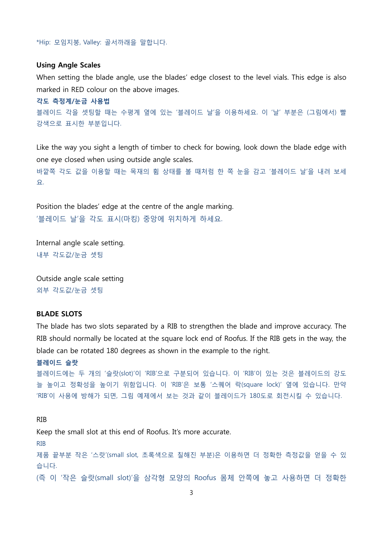\*Hip: 모임지붕, Valley: 골서까래을 말합니다.

#### Using Angle Scales

When setting the blade angle, use the blades' edge closest to the level vials. This edge is also marked in RED colour on the above images.

각도 측정계/눈금 사용법 블레이드 각을 셋팅할 때는 수평계 옆에 있는 '블레이드 날'을 이용하세요. 이 '날' 부분은 (그림에서) 빨 강색으로 표시한 부분입니다.

Like the way you sight a length of timber to check for bowing, look down the blade edge with one eye closed when using outside angle scales. 바깥쪽 각도 값을 이용할 때는 목재의 휨 상태를 볼 때처럼 한 쪽 눈을 감고 '블레이드 날'을 내려 보세 요.

Position the blades' edge at the centre of the angle marking. '블레이드 날'을 각도 표시(마킹) 중앙에 위치하게 하세요.

Internal angle scale setting. 내부 각도값/눈금 셋팅

Outside angle scale setting 외부 각도값/눈금 셋팅

### BLADE SLOTS

The blade has two slots separated by a RIB to strengthen the blade and improve accuracy. The RIB should normally be located at the square lock end of Roofus. If the RIB gets in the way, the blade can be rotated 180 degrees as shown in the example to the right.

```
블레이드 슬랏
```

```
블레이드에는 두 개의 '슬랏(slot)'이 'RIB'으로 구분되어 있습니다. 이 'RIB'이 있는 것은 블레이드의 강도
늘 높이고 정확성을 높이기 위함입니다. 이 'RIB'은 보통 '스퀘어 락(square lock)' 옆에 있습니다. 만약
'RIB'이 사용에 방해가 되면, 그림 예제에서 보는 것과 같이 블레이드가 180도로 회전시킬 수 있습니다.
```
RIB Keep the small slot at this end of Roofus. It's more accurate. RIB 제품 끝부분 작은 '스랏'(small slot, 초록색으로 칠해진 부분)은 이용하면 더 정확한 측정값을 얻을 수 있 습니다. (즉 이 '작은 슬랏(small slot)'을 삼각형 모양의 Roofus 몸체 안쪽에 놓고 사용하면 더 정확한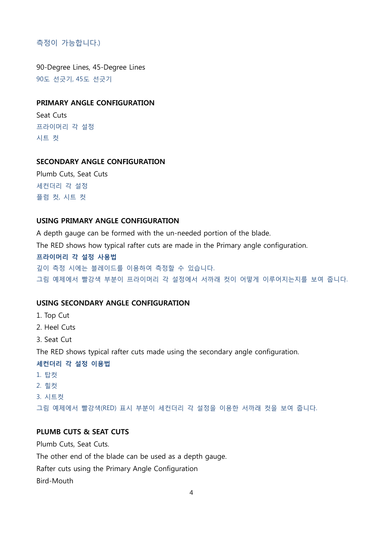# 측정이 가능합니다.)

90-Degree Lines, 45-Degree Lines 90도 선긋기, 45도 선긋기

## PRIMARY ANGLE CONFIGURATION

Seat Cuts 프라이머리 각 설정 시트 컷

## SECONDARY ANGLE CONFIGURATION

Plumb Cuts, Seat Cuts 세컨더리 각 설정 플럼 컷, 시트 컷

## USING PRIMARY ANGLE CONFIGURATION

A depth gauge can be formed with the un-needed portion of the blade.

The RED shows how typical rafter cuts are made in the Primary angle configuration.

#### 프라이머리 각 설정 사용법

깊이 측정 시에는 블레이드를 이용하여 측정할 수 있습니다. 그림 예제에서 빨강색 부분이 프라이머리 각 설정에서 서까래 컷이 어떻게 이루어지는지를 보여 줍니다.

## USING SECONDARY ANGLE CONFIGURATION

- 1. Top Cut
- 2. Heel Cuts
- 3. Seat Cut

The RED shows typical rafter cuts made using the secondary angle configuration.

### 세컨더리 각 설정 이용법

- 1. 탑컷
- 2. 힐컷
- 3. 시트컷

그림 예제에서 빨강색(RED) 표시 부분이 세컨더리 각 설정을 이용한 서까래 컷을 보여 줍니다.

# PLUMB CUTS & SEAT CUTS

Plumb Cuts, Seat Cuts.

The other end of the blade can be used as a depth gauge.

Rafter cuts using the Primary Angle Configuration

Bird-Mouth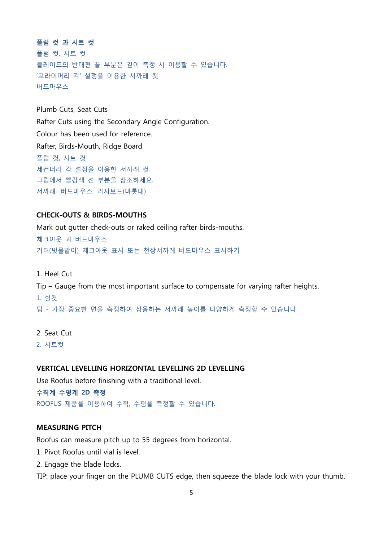플럼 컷 과 시트 컷 플럼 컷, 시트 컷 블레이드의 반대편 끝 부분은 깊이 측정 시 이용할 수 있습니다. '프라이머리 각' 설정을 이용한 서까래 컷 버드마우스

Plumb Cuts, Seat Cuts Rafter Cuts using the Secondary Angle Configuration. Colour has been used for reference. Rafter, Birds-Mouth, Ridge Board 플럼 컷, 시트 컷 세컨더리 각 설정을 이용한 서까래 컷. 그림에서 빨강색 선 부분을 참조하세요. 서까래, 버드마우스, 리지보드(마룻대)

### CHECK-OUTS & BIRDS-MOUTHS

Mark out gutter check-outs or raked ceiling rafter birds-mouths. 체크아웃 과 버드마우스 거터(빗물밭이) 체크아웃 표시 또는 천장서까레 버드마우스 표시하기

1. Heel Cut Tip – Gauge from the most important surface to compensate for varying rafter heights. 1. 힐컷 팁 - 가장 중요한 면을 측정하여 상응하는 서까래 높이를 다양하게 측정할 수 있습니다.

2. Seat Cut

2. 시트컷

#### VERTICAL LEVELLING HORIZONTAL LEVELLING 2D LEVELLING

Use Roofus before finishing with a traditional level.

수직계 수평계 2D 측정 ROOFUS 제품을 이용하여 수직, 수평을 측정할 수 있습니다.

## MEASURING PITCH

Roofus can measure pitch up to 55 degrees from horizontal.

- 1. Pivot Roofus until vial is level.
- 2. Engage the blade locks.

TIP: place your finger on the PLUMB CUTS edge, then squeeze the blade lock with your thumb.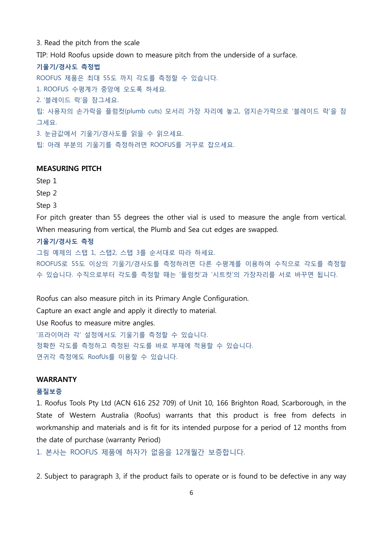3. Read the pitch from the scale

TIP: Hold Roofus upside down to measure pitch from the underside of a surface.

기울기/경사도 측정법 ROOFUS 제품은 최대 55도 까지 각도를 측정할 수 있습니다. 1. ROOFUS 수평계가 중앙에 오도록 하세요. 2. '블레이드 락'을 잠그세요. 팁: 사용자의 손가락을 플럼컷(plumb cuts) 모서리 가장 자리에 놓고, 엄지손가락으로 '블레이드 락'을 잠 그세요. 3. 눈금값에서 기울기/경사도를 읽을 수 읽으세요. 팁: 아래 부분의 기울기를 측정하려면 ROOFUS를 거꾸로 잡으세요.

## MEASURING PITCH

Step 1 Step 2 Step 3 For pitch greater than 55 degrees the other vial is used to measure the angle from vertical. When measuring from vertical, the Plumb and Sea cut edges are swapped. 기울기/경사도 측정 그림 예제의 스탭 1, 스탭2, 스탭 3를 순서대로 따라 하세요.

ROOFUS로 55도 이상의 기울기/경사도를 측정하려면 다른 수평계를 이용하여 수직으로 각도를 측정할 수 있습니다. 수직으로부터 각도를 측정할 때는 '플럼컷'과 '시트컷'의 가장자리를 서로 바꾸면 됩니다.

Roofus can also measure pitch in its Primary Angle Configuration.

Capture an exact angle and apply it directly to material.

Use Roofus to measure mitre angles.

'프라이머라 각' 설정에서도 기울기를 측정할 수 있습니다. 정확한 각도를 측정하고 측정된 각도를 바로 부재에 적용할 수 있습니다. 연귀각 측정에도 RoofUs를 이용할 수 있습니다.

### WARRANTY

#### 품질보증

1. Roofus Tools Pty Ltd (ACN 616 252 709) of Unit 10, 166 Brighton Road, Scarborough, in the State of Western Australia (Roofus) warrants that this product is free from defects in workmanship and materials and is fit for its intended purpose for a period of 12 months from the date of purchase (warranty Period)

1. 본사는 ROOFUS 제품에 하자가 없음을 12개월간 보증합니다.

2. Subject to paragraph 3, if the product fails to operate or is found to be defective in any way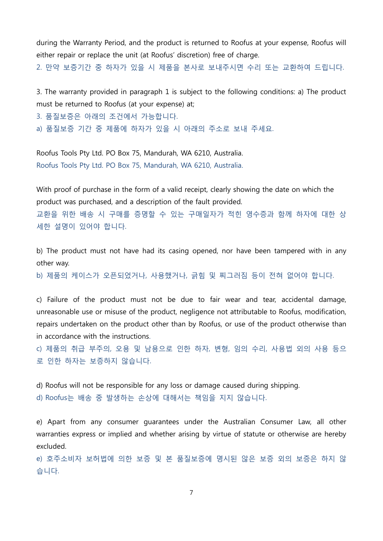during the Warranty Period, and the product is returned to Roofus at your expense, Roofus will either repair or replace the unit (at Roofus' discretion) free of charge.

2. 만약 보증기간 중 하자가 있을 시 제품을 본사로 보내주시면 수리 또는 교환하여 드립니다.

3. The warranty provided in paragraph 1 is subject to the following conditions: a) The product must be returned to Roofus (at your expense) at;

3. 품질보증은 아래의 조건에서 가능합니다.

a) 품질보증 기간 중 제품에 하자가 있을 시 아래의 주소로 보내 주세요.

Roofus Tools Pty Ltd. PO Box 75, Mandurah, WA 6210, Australia. Roofus Tools Pty Ltd. PO Box 75, Mandurah, WA 6210, Australia.

With proof of purchase in the form of a valid receipt, clearly showing the date on which the product was purchased, and a description of the fault provided.

교환을 위한 배송 시 구매를 증명할 수 있는 구매일자가 적힌 영수증과 함께 하자에 대한 상 세한 설명이 있어야 합니다.

b) The product must not have had its casing opened, nor have been tampered with in any other way.

b) 제품의 케이스가 오픈되었거나, 사용했거나, 긁힘 및 찌그러짐 등이 전혀 없어야 합니다.

c) Failure of the product must not be due to fair wear and tear, accidental damage, unreasonable use or misuse of the product, negligence not attributable to Roofus, modification, repairs undertaken on the product other than by Roofus, or use of the product otherwise than in accordance with the instructions.

c) 제품의 취급 부주의, 오용 및 남용으로 인한 하자, 변형, 임의 수리, 사용법 외의 사용 등으 로 인한 하자는 보증하지 않습니다.

d) Roofus will not be responsible for any loss or damage caused during shipping. d) Roofus는 배송 중 발생하는 손상에 대해서는 책임을 지지 않습니다.

e) Apart from any consumer guarantees under the Australian Consumer Law, all other warranties express or implied and whether arising by virtue of statute or otherwise are hereby excluded.

e) 호주소비자 보허법에 의한 보증 및 본 품질보증에 명시된 않은 보증 외의 보증은 하지 않 습니다.